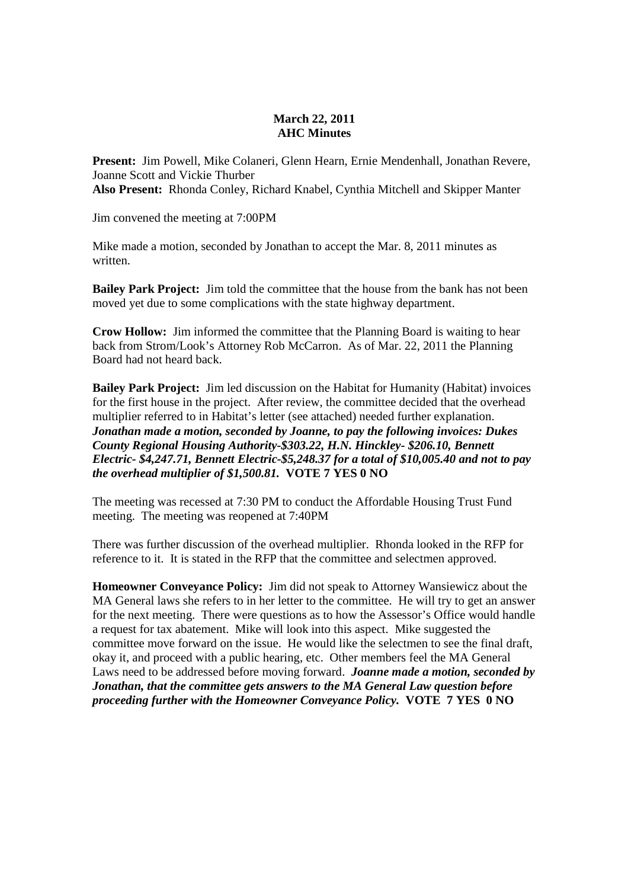### **March 22, 2011 AHC Minutes**

**Present:** Jim Powell, Mike Colaneri, Glenn Hearn, Ernie Mendenhall, Jonathan Revere, Joanne Scott and Vickie Thurber **Also Present:** Rhonda Conley, Richard Knabel, Cynthia Mitchell and Skipper Manter

Jim convened the meeting at 7:00PM

Mike made a motion, seconded by Jonathan to accept the Mar. 8, 2011 minutes as written.

**Bailey Park Project:** Jim told the committee that the house from the bank has not been moved yet due to some complications with the state highway department.

**Crow Hollow:** Jim informed the committee that the Planning Board is waiting to hear back from Strom/Look's Attorney Rob McCarron. As of Mar. 22, 2011 the Planning Board had not heard back.

**Bailey Park Project:** Jim led discussion on the Habitat for Humanity (Habitat) invoices for the first house in the project. After review, the committee decided that the overhead multiplier referred to in Habitat's letter (see attached) needed further explanation. *Jonathan made a motion, seconded by Joanne, to pay the following invoices: Dukes County Regional Housing Authority-\$303.22, H.N. Hinckley- \$206.10, Bennett Electric- \$4,247.71, Bennett Electric-\$5,248.37 for a total of \$10,005.40 and not to pay the overhead multiplier of \$1,500.81.* **VOTE 7 YES 0 NO** 

The meeting was recessed at 7:30 PM to conduct the Affordable Housing Trust Fund meeting. The meeting was reopened at 7:40PM

There was further discussion of the overhead multiplier. Rhonda looked in the RFP for reference to it. It is stated in the RFP that the committee and selectmen approved.

**Homeowner Conveyance Policy:** Jim did not speak to Attorney Wansiewicz about the MA General laws she refers to in her letter to the committee. He will try to get an answer for the next meeting. There were questions as to how the Assessor's Office would handle a request for tax abatement. Mike will look into this aspect. Mike suggested the committee move forward on the issue. He would like the selectmen to see the final draft, okay it, and proceed with a public hearing, etc. Other members feel the MA General Laws need to be addressed before moving forward. *Joanne made a motion, seconded by Jonathan, that the committee gets answers to the MA General Law question before proceeding further with the Homeowner Conveyance Policy.* **VOTE 7 YES 0 NO**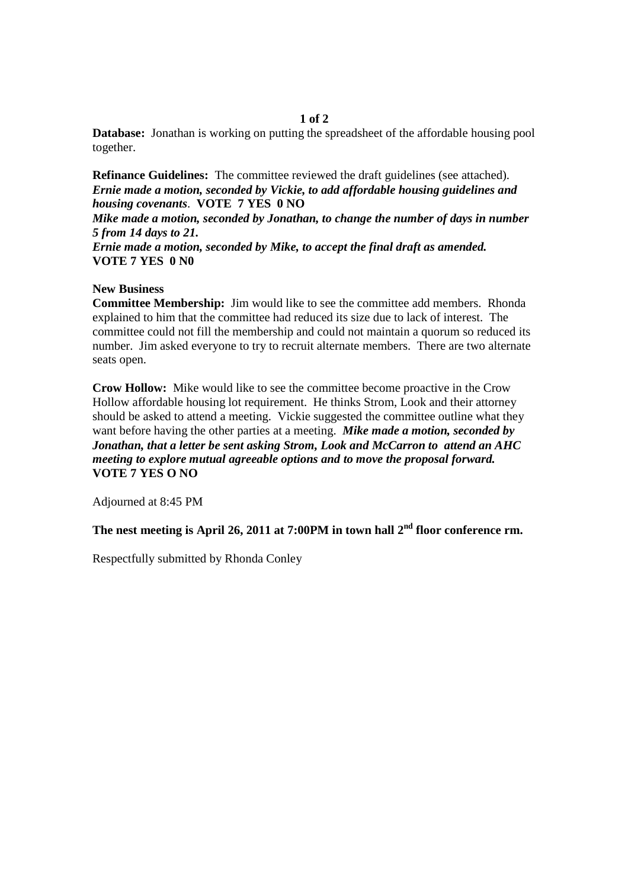### **1 of 2**

**Database:** Jonathan is working on putting the spreadsheet of the affordable housing pool together.

**Refinance Guidelines:** The committee reviewed the draft guidelines (see attached). *Ernie made a motion, seconded by Vickie, to add affordable housing guidelines and housing covenants*. **VOTE 7 YES 0 NO** 

*Mike made a motion, seconded by Jonathan, to change the number of days in number 5 from 14 days to 21.* 

*Ernie made a motion, seconded by Mike, to accept the final draft as amended.*  **VOTE 7 YES 0 N0** 

### **New Business**

**Committee Membership:** Jim would like to see the committee add members. Rhonda explained to him that the committee had reduced its size due to lack of interest. The committee could not fill the membership and could not maintain a quorum so reduced its number. Jim asked everyone to try to recruit alternate members. There are two alternate seats open.

**Crow Hollow:** Mike would like to see the committee become proactive in the Crow Hollow affordable housing lot requirement. He thinks Strom, Look and their attorney should be asked to attend a meeting. Vickie suggested the committee outline what they want before having the other parties at a meeting. *Mike made a motion, seconded by Jonathan, that a letter be sent asking Strom, Look and McCarron to attend an AHC meeting to explore mutual agreeable options and to move the proposal forward.*  **VOTE 7 YES O NO** 

Adjourned at 8:45 PM

**The nest meeting is April 26, 2011 at 7:00PM in town hall 2nd floor conference rm.** 

Respectfully submitted by Rhonda Conley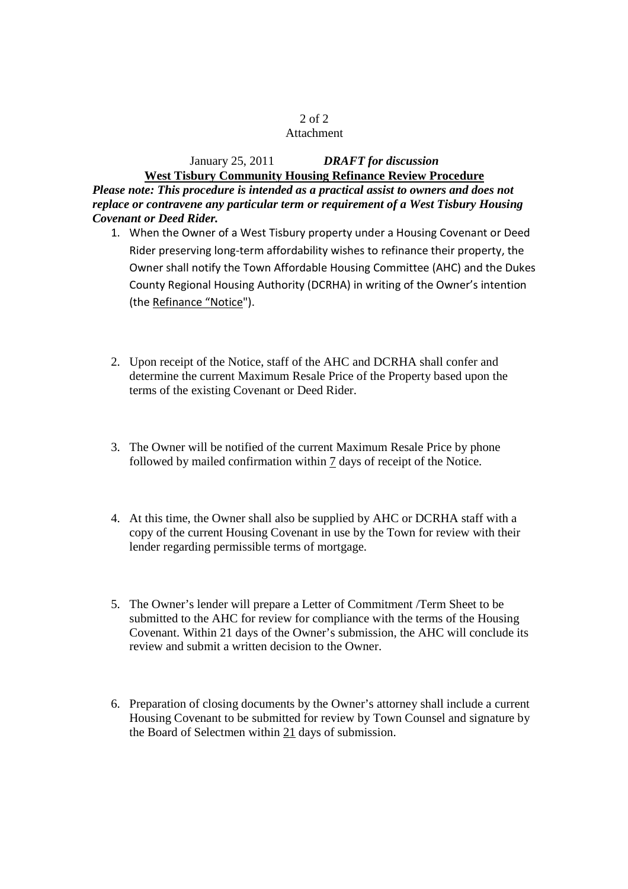## 2 of 2

### Attachment

# January 25, 2011 *DRAFT for discussion* **West Tisbury Community Housing Refinance Review Procedure**

*Please note: This procedure is intended as a practical assist to owners and does not replace or contravene any particular term or requirement of a West Tisbury Housing Covenant or Deed Rider.* 

- 1. When the Owner of a West Tisbury property under a Housing Covenant or Deed Rider preserving long-term affordability wishes to refinance their property, the Owner shall notify the Town Affordable Housing Committee (AHC) and the Dukes County Regional Housing Authority (DCRHA) in writing of the Owner's intention (the Refinance "Notice").
- 2. Upon receipt of the Notice, staff of the AHC and DCRHA shall confer and determine the current Maximum Resale Price of the Property based upon the terms of the existing Covenant or Deed Rider.
- 3. The Owner will be notified of the current Maximum Resale Price by phone followed by mailed confirmation within 7 days of receipt of the Notice.
- 4. At this time, the Owner shall also be supplied by AHC or DCRHA staff with a copy of the current Housing Covenant in use by the Town for review with their lender regarding permissible terms of mortgage.
- 5. The Owner's lender will prepare a Letter of Commitment /Term Sheet to be submitted to the AHC for review for compliance with the terms of the Housing Covenant. Within 21 days of the Owner's submission, the AHC will conclude its review and submit a written decision to the Owner.
- 6. Preparation of closing documents by the Owner's attorney shall include a current Housing Covenant to be submitted for review by Town Counsel and signature by the Board of Selectmen within 21 days of submission.